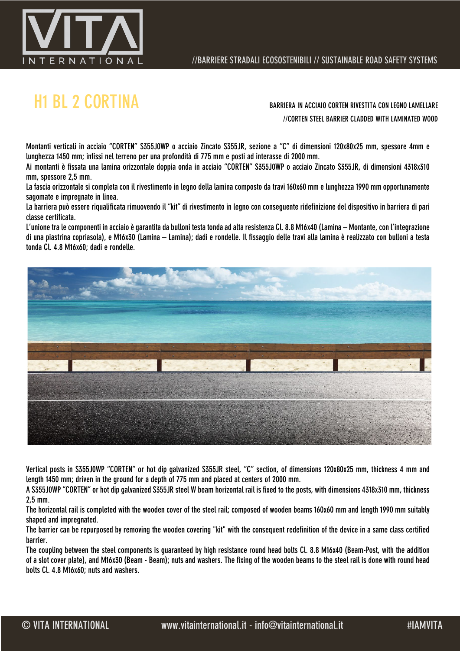

# H1 BL 2 CORTINA BARRIERA IN ACCIAIO CORTEN RIVESTITA CON LEGNO LAMELLARE

//CORTEN STEEL BARRIER CLADDED WITH LAMINATED WOOD

Montanti verticali in acciaio "CORTEN" S355J0WP o acciaio Zincato S355JR, sezione a "C" di dimensioni 120x80x25 mm, spessore 4mm e lunghezza 1450 mm; infissi nel terreno per una profondità di 775 mm e posti ad interasse di 2000 mm.

Ai montanti è fissata una lamina orizzontale doppia onda in acciaio "CORTEN" S355J0WP o acciaio Zincato S355JR, di dimensioni 4318x310 mm, spessore 2,5 mm.

La fascia orizzontale si completa con il rivestimento in legno della lamina composto da travi 160x60 mm e lunghezza 1990 mm opportunamente sagomate e impregnate in linea.

La barriera può essere riqualificata rimuovendo il "kit" di rivestimento in legno con conseguente ridefinizione del dispositivo in barriera di pari classe certificata.

L'unione tra le componenti in acciaio è garantita da bulloni testa tonda ad alta resistenza Cl. 8.8 M16x40 (Lamina – Montante, con l'integrazione di una piastrina copriasola), e M16x30 (Lamina – Lamina); dadi e rondelle. Il fissaggio delle travi alla lamina è realizzato con bulloni a testa tonda Cl. 4.8 M16x60; dadi e rondelle.



Vertical posts in S355J0WP "CORTEN" or hot dip galvanized S355JR steel, "C" section, of dimensions 120x80x25 mm, thickness 4 mm and length 1450 mm; driven in the ground for a depth of 775 mm and placed at centers of 2000 mm.

A S355J0WP "CORTEN" or hot dip galvanized S355JR steel W beam horizontal rail is fixed to the posts, with dimensions 4318x310 mm, thickness 2,5 mm.

The horizontal rail is completed with the wooden cover of the steel rail; composed of wooden beams 160x60 mm and length 1990 mm suitably shaped and impregnated.

The barrier can be repurposed by removing the wooden covering "kit" with the consequent redefinition of the device in a same class certified barrier.

The coupling between the steel components is guaranteed by high resistance round head bolts Cl. 8.8 M16x40 (Beam-Post, with the addition of a slot cover plate), and M16x30 (Beam - Beam); nuts and washers. The fixing of the wooden beams to the steel rail is done with round head bolts Cl. 4.8 M16x60; nuts and washers.